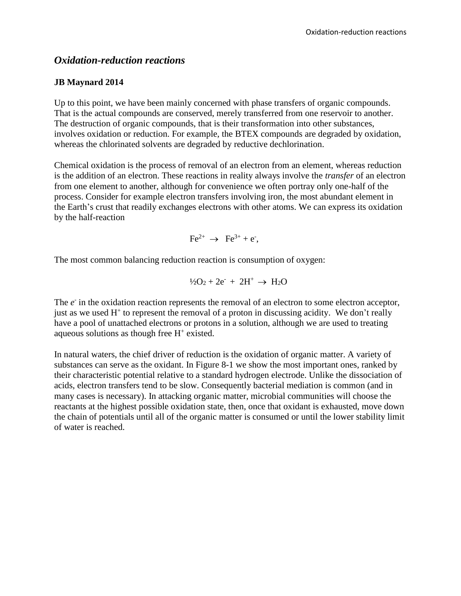# *Oxidation-reduction reactions*

#### **JB Maynard 2014**

Up to this point, we have been mainly concerned with phase transfers of organic compounds. That is the actual compounds are conserved, merely transferred from one reservoir to another. The destruction of organic compounds, that is their transformation into other substances, involves oxidation or reduction. For example, the BTEX compounds are degraded by oxidation, whereas the chlorinated solvents are degraded by reductive dechlorination.

Chemical oxidation is the process of removal of an electron from an element, whereas reduction is the addition of an electron. These reactions in reality always involve the *transfer* of an electron from one element to another, although for convenience we often portray only one-half of the process. Consider for example electron transfers involving iron, the most abundant element in the Earth's crust that readily exchanges electrons with other atoms. We can express its oxidation by the half-reaction

$$
\mathrm{Fe}^{2+} \rightarrow \mathrm{Fe}^{3+} + \mathrm{e}^-,
$$

The most common balancing reduction reaction is consumption of oxygen:

$$
1/2O_2 + 2e^+ + 2H^+ \rightarrow H_2O
$$

The  $e<sup>+</sup>$  in the oxidation reaction represents the removal of an electron to some electron acceptor, just as we used  $H^+$  to represent the removal of a proton in discussing acidity. We don't really have a pool of unattached electrons or protons in a solution, although we are used to treating aqueous solutions as though free  $H^+$  existed.

In natural waters, the chief driver of reduction is the oxidation of organic matter. A variety of substances can serve as the oxidant. In Figure 8-1 we show the most important ones, ranked by their characteristic potential relative to a standard hydrogen electrode. Unlike the dissociation of acids, electron transfers tend to be slow. Consequently bacterial mediation is common (and in many cases is necessary). In attacking organic matter, microbial communities will choose the reactants at the highest possible oxidation state, then, once that oxidant is exhausted, move down the chain of potentials until all of the organic matter is consumed or until the lower stability limit of water is reached.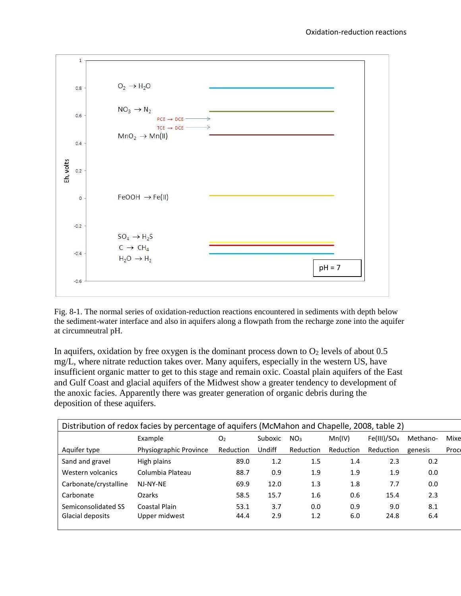

Fig. 8-1. The normal series of oxidation-reduction reactions encountered in sediments with depth below the sediment-water interface and also in aquifers along a flowpath from the recharge zone into the aquifer at circumneutral pH.

In aquifers, oxidation by free oxygen is the dominant process down to  $O_2$  levels of about 0.5 mg/L, where nitrate reduction takes over. Many aquifers, especially in the western US, have insufficient organic matter to get to this stage and remain oxic. Coastal plain aquifers of the East and Gulf Coast and glacial aquifers of the Midwest show a greater tendency to development of the anoxic facies. Apparently there was greater generation of organic debris during the deposition of these aquifers.

| Distribution of redox facies by percentage of aquifers (McMahon and Chapelle, 2008, table 2) |                        |                |         |                 |           |                         |          |       |
|----------------------------------------------------------------------------------------------|------------------------|----------------|---------|-----------------|-----------|-------------------------|----------|-------|
|                                                                                              | Example                | O <sub>2</sub> | Suboxic | NO <sub>3</sub> | Mn(IV)    | Fe(III)/SO <sub>4</sub> | Methano- | Mixe  |
| Aquifer type                                                                                 | Physiographic Province | Reduction      | Undiff  | Reduction       | Reduction | Reduction               | genesis  | Proce |
| Sand and gravel                                                                              | High plains            | 89.0           | 1.2     | 1.5             | 1.4       | 2.3                     | 0.2      |       |
| Western volcanics                                                                            | Columbia Plateau       | 88.7           | 0.9     | 1.9             | 1.9       | 1.9                     | 0.0      |       |
| Carbonate/crystalline                                                                        | NJ-NY-NE               | 69.9           | 12.0    | 1.3             | 1.8       | 7.7                     | 0.0      |       |
| Carbonate                                                                                    | <b>Ozarks</b>          | 58.5           | 15.7    | 1.6             | 0.6       | 15.4                    | 2.3      |       |
| Semiconsolidated SS                                                                          | Coastal Plain          | 53.1           | 3.7     | 0.0             | 0.9       | 9.0                     | 8.1      |       |
| Glacial deposits                                                                             | Upper midwest          | 44.4           | 2.9     | 1.2             | 6.0       | 24.8                    | 6.4      |       |
|                                                                                              |                        |                |         |                 |           |                         |          |       |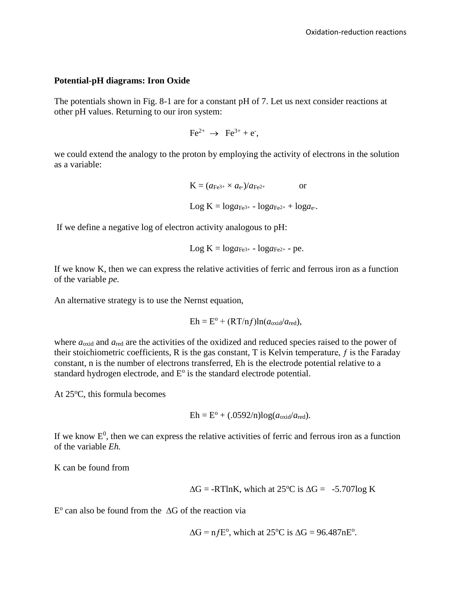#### **Potential-pH diagrams: Iron Oxide**

The potentials shown in Fig. 8-1 are for a constant pH of 7. Let us next consider reactions at other pH values. Returning to our iron system:

$$
\mathrm{Fe}^{2+} \rightarrow \mathrm{Fe}^{3+} + \mathrm{e}^{\cdot},
$$

we could extend the analogy to the proton by employing the activity of electrons in the solution as a variable:

$$
K = (a_{Fe^{3+}} \times a_e)/a_{Fe^{2+}} \qquad \text{or}
$$
  

$$
Log K = log a_{Fe^{3+}} - log a_{Fe^{2+}} + log a_e.
$$

If we define a negative log of electron activity analogous to pH:

$$
Log K = log a_{Fe^{3+}} - log a_{Fe^{2+}} - pe.
$$

If we know K, then we can express the relative activities of ferric and ferrous iron as a function of the variable *pe.*

An alternative strategy is to use the Nernst equation,

$$
Eh = E^{\rm o} + (RT/nf)ln(a_{\rm oxid}/a_{\rm red}),
$$

where  $a_{\text{oxid}}$  and  $a_{\text{red}}$  are the activities of the oxidized and reduced species raised to the power of their stoichiometric coefficients, R is the gas constant, T is Kelvin temperature,  $f$  is the Faraday constant, n is the number of electrons transferred, Eh is the electrode potential relative to a standard hydrogen electrode, and  $E^{\circ}$  is the standard electrode potential.

At  $25^{\circ}$ C, this formula becomes

$$
Eh = E^{\rm o} + (.0592/n) \log(a_{\rm oxid}/a_{\rm red}).
$$

If we know  $E^0$ , then we can express the relative activities of ferric and ferrous iron as a function of the variable *Eh.*

K can be found from

$$
\Delta G = -RT\ln K
$$
, which at 25°C is  $\Delta G = -5.707\log K$ 

 $E^{\circ}$  can also be found from the  $\Delta G$  of the reaction via

$$
\Delta G = n f E^{\circ}
$$
, which at 25°C is  $\Delta G = 96.487 n E^{\circ}$ .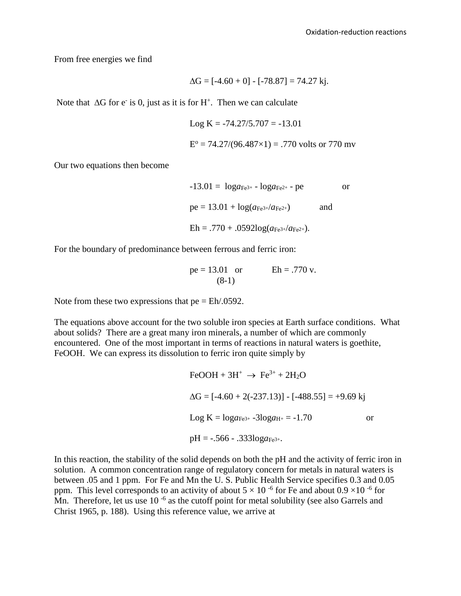From free energies we find

$$
\Delta G = [-4.60 + 0] - [-78.87] = 74.27 \text{ kj}.
$$

Note that  $\Delta G$  for e<sup>-</sup> is 0, just as it is for H<sup>+</sup>. Then we can calculate

Log K = -74.27/5.707 = -13.01 E <sup>o</sup> = 74.27/(96.487×1) = .770 volts or 770 mv

Our two equations then become

$$
-13.01 = \log a_{Fe^{3+}} - \log a_{Fe^{2+}} - pe
$$
 or  
pe = 13.01 + log(a\_{Fe^{3+}}/a\_{Fe^{2+}}) and  
Eh = .770 + .0592log(a\_{Fe^{3+}}/a\_{Fe^{2+}}).

For the boundary of predominance between ferrous and ferric iron:

$$
pe = 13.01
$$
 or  $Eh = .770$  v.  
(8-1)

Note from these two expressions that  $pe = Eh/0.0592$ .

The equations above account for the two soluble iron species at Earth surface conditions. What about solids? There are a great many iron minerals, a number of which are commonly encountered. One of the most important in terms of reactions in natural waters is goethite, FeOOH. We can express its dissolution to ferric iron quite simply by

$$
\text{FeOOH} + 3\text{H}^+ \rightarrow \text{Fe}^{3+} + 2\text{H}_2\text{O}
$$
\n
$$
\Delta G = [-4.60 + 2(-237.13)] - [-488.55] = +9.69 \text{ kj}
$$
\n
$$
\text{Log K} = \log a_{\text{Fe}^{3+}} - 3\log a_{\text{H}^{+}} = -1.70 \qquad \text{or}
$$
\n
$$
\text{pH} = -.566 - .333\log a_{\text{Fe}^{3+}}.
$$

In this reaction, the stability of the solid depends on both the pH and the activity of ferric iron in solution. A common concentration range of regulatory concern for metals in natural waters is between .05 and 1 ppm. For Fe and Mn the U. S. Public Health Service specifies 0.3 and 0.05 ppm. This level corresponds to an activity of about  $5 \times 10^{-6}$  for Fe and about  $0.9 \times 10^{-6}$  for Mn. Therefore, let us use  $10^{-6}$  as the cutoff point for metal solubility (see also Garrels and Christ 1965, p. 188). Using this reference value, we arrive at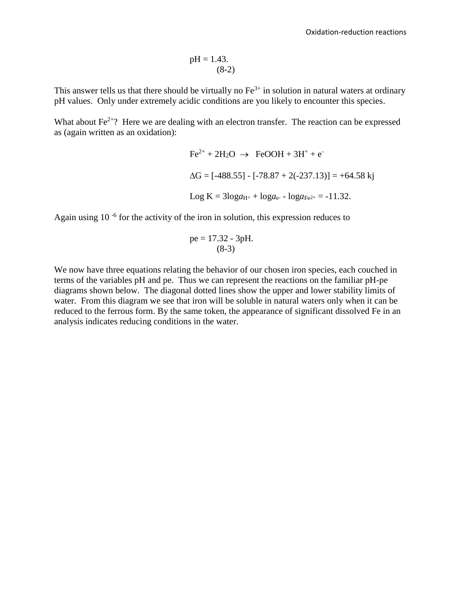$$
pH = 1.43.
$$
\n
$$
(8-2)
$$

This answer tells us that there should be virtually no  $Fe^{3+}$  in solution in natural waters at ordinary pH values. Only under extremely acidic conditions are you likely to encounter this species.

What about  $Fe^{2+}$ ? Here we are dealing with an electron transfer. The reaction can be expressed as (again written as an oxidation):

$$
Fe^{2+} + 2H_2O \rightarrow FeOOH + 3H^+ + e^-
$$
  
\n
$$
\Delta G = [-488.55] - [-78.87 + 2(-237.13)] = +64.58 \text{ kj}
$$
  
\n
$$
\text{Log K} = 3\log a_{H^+} + \log a_{e^-} - \log a_{Fe^{2+}} = -11.32.
$$

Again using 10<sup>-6</sup> for the activity of the iron in solution, this expression reduces to

$$
pe = 17.32 - 3pH.
$$
  
(8-3)

We now have three equations relating the behavior of our chosen iron species, each couched in terms of the variables pH and pe. Thus we can represent the reactions on the familiar pH-pe diagrams shown below. The diagonal dotted lines show the upper and lower stability limits of water. From this diagram we see that iron will be soluble in natural waters only when it can be reduced to the ferrous form. By the same token, the appearance of significant dissolved Fe in an analysis indicates reducing conditions in the water.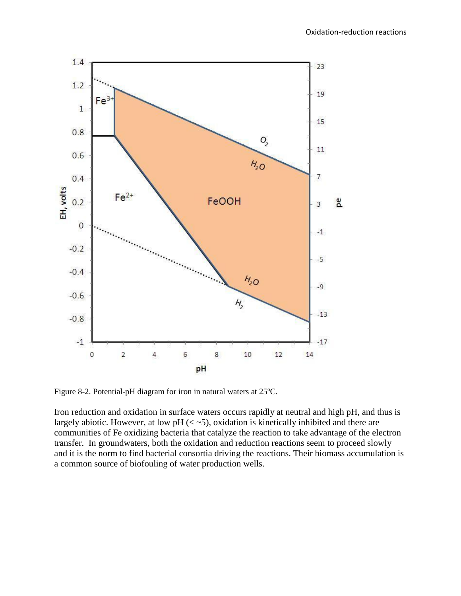

Figure 8-2. Potential-pH diagram for iron in natural waters at  $25^{\circ}$ C.

Iron reduction and oxidation in surface waters occurs rapidly at neutral and high pH, and thus is largely abiotic. However, at low  $pH \approx 5$ , oxidation is kinetically inhibited and there are communities of Fe oxidizing bacteria that catalyze the reaction to take advantage of the electron transfer. In groundwaters, both the oxidation and reduction reactions seem to proceed slowly and it is the norm to find bacterial consortia driving the reactions. Their biomass accumulation is a common source of biofouling of water production wells.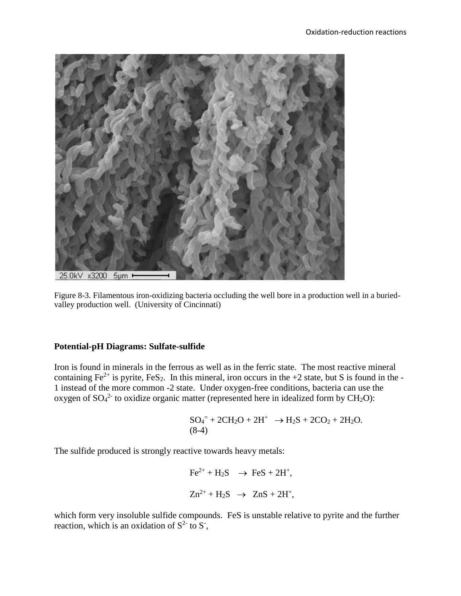![](_page_6_Picture_1.jpeg)

Figure 8-3. Filamentous iron-oxidizing bacteria occluding the well bore in a production well in a buriedvalley production well. (University of Cincinnati)

### **Potential-pH Diagrams: Sulfate-sulfide**

Iron is found in minerals in the ferrous as well as in the ferric state. The most reactive mineral containing  $Fe^{2+}$  is pyrite,  $FeS_2$ . In this mineral, iron occurs in the +2 state, but S is found in the -1 instead of the more common -2 state. Under oxygen-free conditions, bacteria can use the oxygen of  $SO_4^2$  to oxidize organic matter (represented here in idealized form by  $CH_2O$ ):

$$
SO_4^= + 2CH_2O + 2H^+ \rightarrow H_2S + 2CO_2 + 2H_2O.
$$
  
(8-4)

The sulfide produced is strongly reactive towards heavy metals:

$$
Fe2+ + H2S \rightarrow FeS + 2H+,
$$
  

$$
Zn2+ + H2S \rightarrow ZnS + 2H+,
$$

which form very insoluble sulfide compounds. FeS is unstable relative to pyrite and the further reaction, which is an oxidation of  $S^2$  to  $S^2$ ,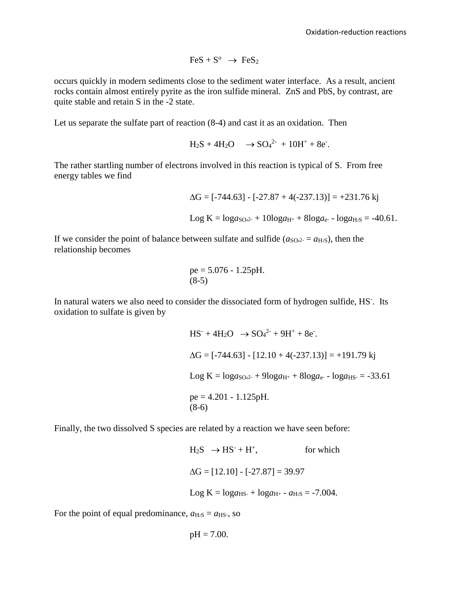$$
FeS + S^o \rightarrow FeS_2
$$

occurs quickly in modern sediments close to the sediment water interface. As a result, ancient rocks contain almost entirely pyrite as the iron sulfide mineral. ZnS and PbS, by contrast, are quite stable and retain S in the -2 state.

Let us separate the sulfate part of reaction (8-4) and cast it as an oxidation. Then

$$
H_2S + 4H_2O \longrightarrow SO_4^{2-} + 10H^+ + 8e^-.
$$

The rather startling number of electrons involved in this reaction is typical of S. From free energy tables we find

$$
\Delta G = [-744.63] - [-27.87 + 4(-237.13)] = +231.76 \text{ kj}
$$
  
Log K =  $\log a_{S042} + 10\log a_{H^+} + 8\log a_{e^-} - \log a_{H^2S} = -40.61$ .

If we consider the point of balance between sulfate and sulfide ( $a_{\text{SO},22} = a_{\text{H}_2\text{S}}$ ), then the relationship becomes

$$
pe = 5.076 - 1.25pH.
$$
  
(8-5)

In natural waters we also need to consider the dissociated form of hydrogen sulfide, HS<sup>-</sup>. Its oxidation to sulfate is given by

$$
HS− + 4H2O → SO42− + 9H+ + 8e−.
$$
  
ΔG = [-744.63] - [12.10 + 4(-237.13)] = +191.79 kj  
Log K = log<sub>8</sub>O<sub>4</sub><sup>2−</sup> + 9log<sub>4</sub>H<sup>+</sup> + 8log<sub>4</sub>e<sup>−</sup> - log<sub>4</sub>H<sub>5</sub> = -33.61  
pe = 4.201 - 1.125pH.  
(8-6)

Finally, the two dissolved S species are related by a reaction we have seen before:

```
H_2S \rightarrow HS^- + H^+, for which
\Delta G = [12.10] - [-27.87] = 39.97Log K = log a_{H-S} + log a_{H+} - a_{H-S} = -7.004.
```
For the point of equal predominance,  $a_{\text{H}_2S} = a_{\text{HS}}$ , so

$$
pH = 7.00.
$$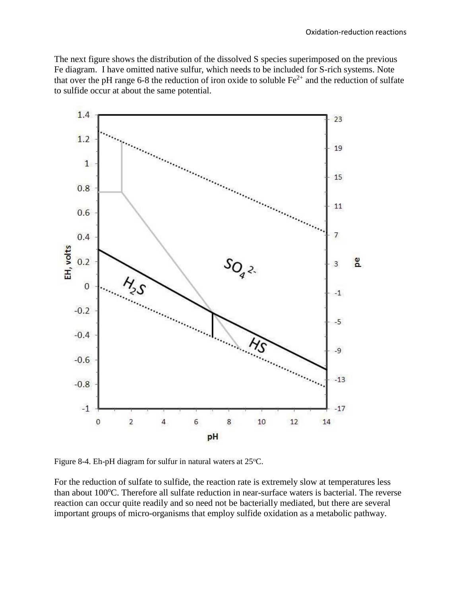The next figure shows the distribution of the dissolved S species superimposed on the previous Fe diagram. I have omitted native sulfur, which needs to be included for S-rich systems. Note that over the pH range 6-8 the reduction of iron oxide to soluble  $Fe^{2+}$  and the reduction of sulfate to sulfide occur at about the same potential.

![](_page_8_Figure_2.jpeg)

Figure 8-4. Eh-pH diagram for sulfur in natural waters at  $25^{\circ}$ C.

For the reduction of sulfate to sulfide, the reaction rate is extremely slow at temperatures less than about 100°C. Therefore all sulfate reduction in near-surface waters is bacterial. The reverse reaction can occur quite readily and so need not be bacterially mediated, but there are several important groups of micro-organisms that employ sulfide oxidation as a metabolic pathway.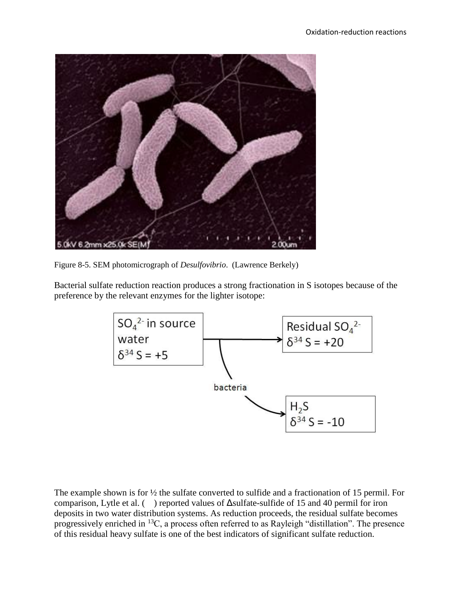![](_page_9_Picture_1.jpeg)

Figure 8-5. SEM photomicrograph of *Desulfovibrio*. (Lawrence Berkely)

Bacterial sulfate reduction reaction produces a strong fractionation in S isotopes because of the preference by the relevant enzymes for the lighter isotope:

![](_page_9_Figure_4.jpeg)

The example shown is for ½ the sulfate converted to sulfide and a fractionation of 15 permil. For comparison, Lytle et al. ( ) reported values of Δsulfate-sulfide of 15 and 40 permil for iron deposits in two water distribution systems. As reduction proceeds, the residual sulfate becomes progressively enriched in  $^{13}C$ , a process often referred to as Rayleigh "distillation". The presence of this residual heavy sulfate is one of the best indicators of significant sulfate reduction.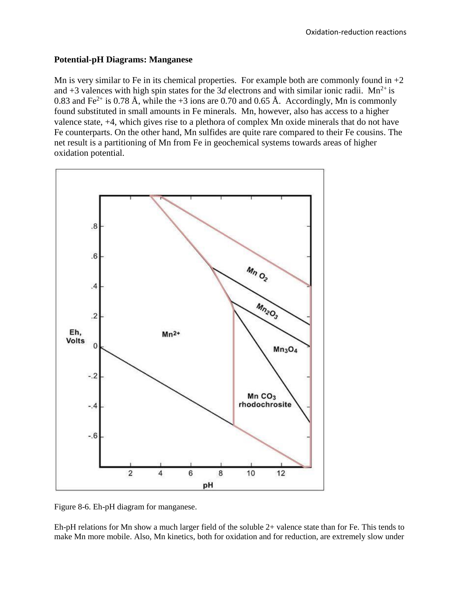## **Potential-pH Diagrams: Manganese**

Mn is very similar to Fe in its chemical properties. For example both are commonly found in  $+2$ and +3 valences with high spin states for the 3*d* electrons and with similar ionic radii. Mn<sup>2+</sup> is 0.83 and Fe<sup>2+</sup> is 0.78 Å, while the +3 ions are 0.70 and 0.65 Å. Accordingly, Mn is commonly found substituted in small amounts in Fe minerals. Mn, however, also has access to a higher valence state, +4, which gives rise to a plethora of complex Mn oxide minerals that do not have Fe counterparts. On the other hand, Mn sulfides are quite rare compared to their Fe cousins. The net result is a partitioning of Mn from Fe in geochemical systems towards areas of higher oxidation potential.

![](_page_10_Figure_3.jpeg)

Figure 8-6. Eh-pH diagram for manganese.

Eh-pH relations for Mn show a much larger field of the soluble 2+ valence state than for Fe. This tends to make Mn more mobile. Also, Mn kinetics, both for oxidation and for reduction, are extremely slow under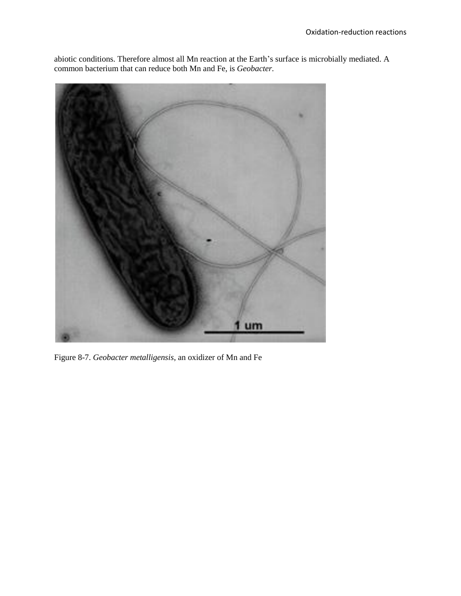abiotic conditions. Therefore almost all Mn reaction at the Earth's surface is microbially mediated. A common bacterium that can reduce both Mn and Fe, is *Geobacter.*

![](_page_11_Picture_2.jpeg)

Figure 8-7. *Geobacter metalligensis*, an oxidizer of Mn and Fe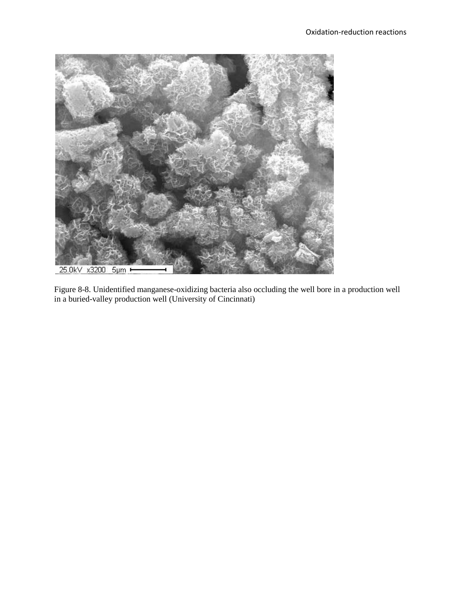![](_page_12_Picture_1.jpeg)

Figure 8-8. Unidentified manganese-oxidizing bacteria also occluding the well bore in a production well in a buried-valley production well (University of Cincinnati)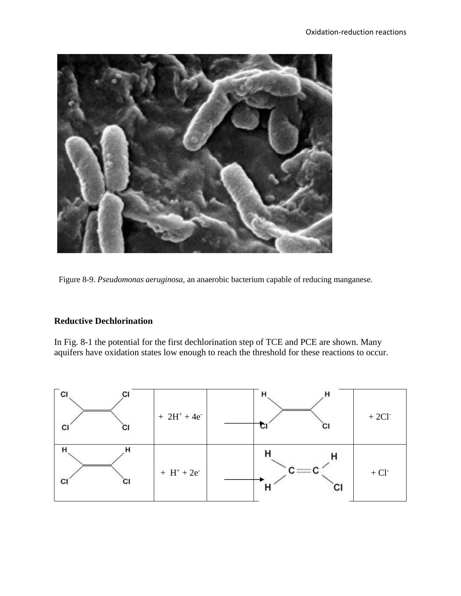![](_page_13_Picture_1.jpeg)

Figure 8-9. *Pseudomonas aeruginosa*, an anaerobic bacterium capable of reducing manganese.

# **Reductive Dechlorination**

In Fig. 8-1 the potential for the first dechlorination step of TCE and PCE are shown. Many aquifers have oxidation states low enough to reach the threshold for these reactions to occur.

![](_page_13_Figure_5.jpeg)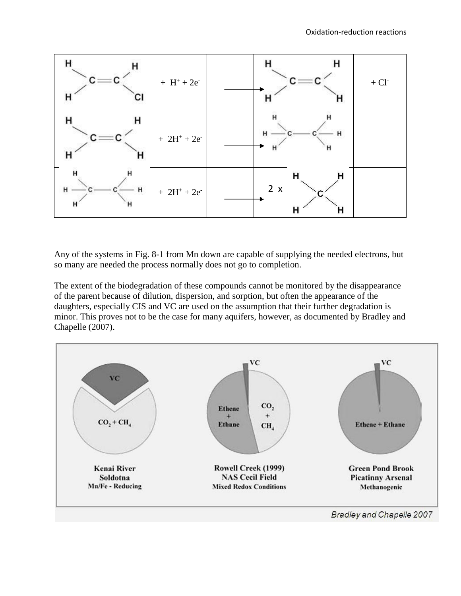![](_page_14_Figure_1.jpeg)

Any of the systems in Fig. 8-1 from Mn down are capable of supplying the needed electrons, but so many are needed the process normally does not go to completion.

The extent of the biodegradation of these compounds cannot be monitored by the disappearance of the parent because of dilution, dispersion, and sorption, but often the appearance of the daughters, especially CIS and VC are used on the assumption that their further degradation is minor. This proves not to be the case for many aquifers, however, as documented by Bradley and Chapelle (2007).

![](_page_14_Figure_4.jpeg)